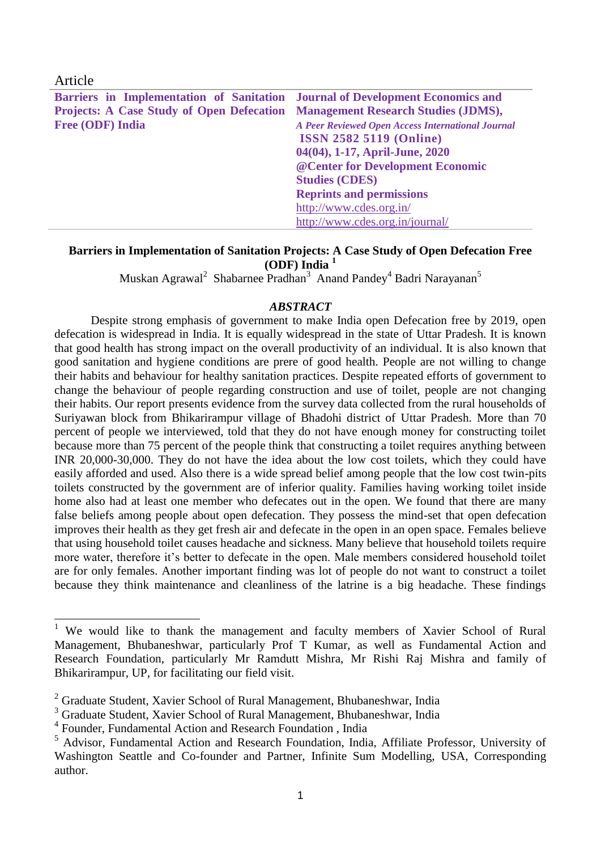| Article                                                                       |                                                          |
|-------------------------------------------------------------------------------|----------------------------------------------------------|
| Barriers in Implementation of Sanitation Journal of Development Economics and |                                                          |
| Projects: A Case Study of Open Defecation Management Research Studies (JDMS), |                                                          |
| <b>Free (ODF) India</b>                                                       | <b>A Peer Reviewed Open Access International Journal</b> |
|                                                                               | <b>ISSN 2582 5119 (Online)</b>                           |
|                                                                               | 04(04), 1-17, April-June, 2020                           |
|                                                                               | @ Center for Development Economic                        |
|                                                                               | <b>Studies (CDES)</b>                                    |
|                                                                               | <b>Reprints and permissions</b>                          |
|                                                                               | http://www.cdes.org.in/                                  |
|                                                                               | http://www.cdes.org.in/journal/                          |

#### **Barriers in Implementation of Sanitation Projects: A Case Study of Open Defecation Free (ODF) India <sup>1</sup>**

Muskan Agrawal<sup>2</sup> Shabarnee Pradhan<sup>3</sup> Anand Pandey<sup>4</sup> Badri Narayanan<sup>5</sup>

#### *ABSTRACT*

Despite strong emphasis of government to make India open Defecation free by 2019, open defecation is widespread in India. It is equally widespread in the state of Uttar Pradesh. It is known that good health has strong impact on the overall productivity of an individual. It is also known that good sanitation and hygiene conditions are prere of good health. People are not willing to change their habits and behaviour for healthy sanitation practices. Despite repeated efforts of government to change the behaviour of people regarding construction and use of toilet, people are not changing their habits. Our report presents evidence from the survey data collected from the rural households of Suriyawan block from Bhikarirampur village of Bhadohi district of Uttar Pradesh. More than 70 percent of people we interviewed, told that they do not have enough money for constructing toilet because more than 75 percent of the people think that constructing a toilet requires anything between INR 20,000-30,000. They do not have the idea about the low cost toilets, which they could have easily afforded and used. Also there is a wide spread belief among people that the low cost twin-pits toilets constructed by the government are of inferior quality. Families having working toilet inside home also had at least one member who defecates out in the open. We found that there are many false beliefs among people about open defecation. They possess the mind-set that open defecation improves their health as they get fresh air and defecate in the open in an open space. Females believe that using household toilet causes headache and sickness. Many believe that household toilets require more water, therefore it's better to defecate in the open. Male members considered household toilet are for only females. Another important finding was lot of people do not want to construct a toilet because they think maintenance and cleanliness of the latrine is a big headache. These findings

-

<sup>&</sup>lt;sup>1</sup> We would like to thank the management and faculty members of Xavier School of Rural Management, Bhubaneshwar, particularly Prof T Kumar, as well as Fundamental Action and Research Foundation, particularly Mr Ramdutt Mishra, Mr Rishi Raj Mishra and family of Bhikarirampur, UP, for facilitating our field visit.

<sup>&</sup>lt;sup>2</sup> Graduate Student, Xavier School of Rural Management, Bhubaneshwar, India

<sup>&</sup>lt;sup>3</sup> Graduate Student, Xavier School of Rural Management, Bhubaneshwar, India

<sup>4</sup> Founder, Fundamental Action and Research Foundation , India

<sup>5</sup> Advisor, Fundamental Action and Research Foundation, India, Affiliate Professor, University of Washington Seattle and Co-founder and Partner, Infinite Sum Modelling, USA, Corresponding author.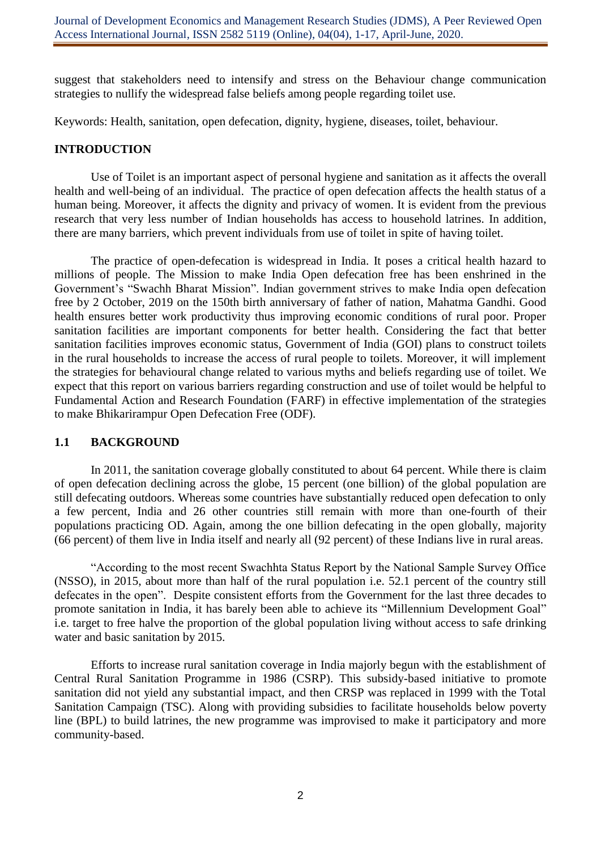suggest that stakeholders need to intensify and stress on the Behaviour change communication strategies to nullify the widespread false beliefs among people regarding toilet use.

Keywords: Health, sanitation, open defecation, dignity, hygiene, diseases, toilet, behaviour.

### **INTRODUCTION**

Use of Toilet is an important aspect of personal hygiene and sanitation as it affects the overall health and well-being of an individual. The practice of open defecation affects the health status of a human being. Moreover, it affects the dignity and privacy of women. It is evident from the previous research that very less number of Indian households has access to household latrines. In addition, there are many barriers, which prevent individuals from use of toilet in spite of having toilet.

The practice of open-defecation is widespread in India. It poses a critical health hazard to millions of people. The Mission to make India Open defecation free has been enshrined in the Government's "Swachh Bharat Mission". Indian government strives to make India open defecation free by 2 October, 2019 on the 150th birth anniversary of father of nation, Mahatma Gandhi. Good health ensures better work productivity thus improving economic conditions of rural poor. Proper sanitation facilities are important components for better health. Considering the fact that better sanitation facilities improves economic status, Government of India (GOI) plans to construct toilets in the rural households to increase the access of rural people to toilets. Moreover, it will implement the strategies for behavioural change related to various myths and beliefs regarding use of toilet. We expect that this report on various barriers regarding construction and use of toilet would be helpful to Fundamental Action and Research Foundation (FARF) in effective implementation of the strategies to make Bhikarirampur Open Defecation Free (ODF).

### **1.1 BACKGROUND**

In 2011, the sanitation coverage globally constituted to about 64 percent. While there is claim of open defecation declining across the globe, 15 percent (one billion) of the global population are still defecating outdoors. Whereas some countries have substantially reduced open defecation to only a few percent, India and 26 other countries still remain with more than one-fourth of their populations practicing OD. Again, among the one billion defecating in the open globally, majority (66 percent) of them live in India itself and nearly all (92 percent) of these Indians live in rural areas.

"According to the most recent Swachhta Status Report by the National Sample Survey Office (NSSO), in 2015, about more than half of the rural population i.e. 52.1 percent of the country still defecates in the open". Despite consistent efforts from the Government for the last three decades to promote sanitation in India, it has barely been able to achieve its "Millennium Development Goal" i.e. target to free halve the proportion of the global population living without access to safe drinking water and basic sanitation by 2015.

Efforts to increase rural sanitation coverage in India majorly begun with the establishment of Central Rural Sanitation Programme in 1986 (CSRP). This subsidy-based initiative to promote sanitation did not yield any substantial impact, and then CRSP was replaced in 1999 with the Total Sanitation Campaign (TSC). Along with providing subsidies to facilitate households below poverty line (BPL) to build latrines, the new programme was improvised to make it participatory and more community-based.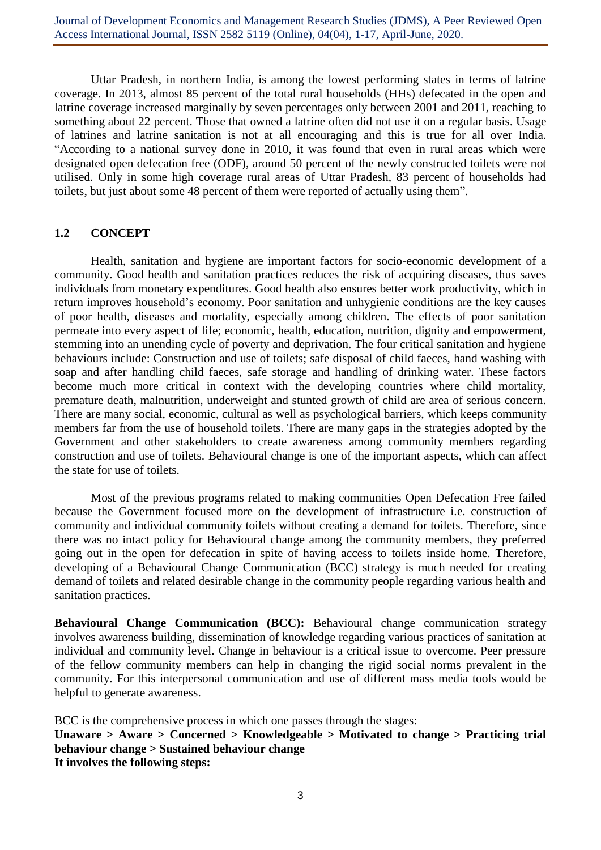Uttar Pradesh, in northern India, is among the lowest performing states in terms of latrine coverage. In 2013, almost 85 percent of the total rural households (HHs) defecated in the open and latrine coverage increased marginally by seven percentages only between 2001 and 2011, reaching to something about 22 percent. Those that owned a latrine often did not use it on a regular basis. Usage of latrines and latrine sanitation is not at all encouraging and this is true for all over India. "According to a national survey done in 2010, it was found that even in rural areas which were designated open defecation free (ODF), around 50 percent of the newly constructed toilets were not utilised. Only in some high coverage rural areas of Uttar Pradesh, 83 percent of households had toilets, but just about some 48 percent of them were reported of actually using them".

## **1.2 CONCEPT**

Health, sanitation and hygiene are important factors for socio-economic development of a community. Good health and sanitation practices reduces the risk of acquiring diseases, thus saves individuals from monetary expenditures. Good health also ensures better work productivity, which in return improves household's economy. Poor sanitation and unhygienic conditions are the key causes of poor health, diseases and mortality, especially among children. The effects of poor sanitation permeate into every aspect of life; economic, health, education, nutrition, dignity and empowerment, stemming into an unending cycle of poverty and deprivation. The four critical sanitation and hygiene behaviours include: Construction and use of toilets; safe disposal of child faeces, hand washing with soap and after handling child faeces, safe storage and handling of drinking water. These factors become much more critical in context with the developing countries where child mortality, premature death, malnutrition, underweight and stunted growth of child are area of serious concern. There are many social, economic, cultural as well as psychological barriers, which keeps community members far from the use of household toilets. There are many gaps in the strategies adopted by the Government and other stakeholders to create awareness among community members regarding construction and use of toilets. Behavioural change is one of the important aspects, which can affect the state for use of toilets.

Most of the previous programs related to making communities Open Defecation Free failed because the Government focused more on the development of infrastructure i.e. construction of community and individual community toilets without creating a demand for toilets. Therefore, since there was no intact policy for Behavioural change among the community members, they preferred going out in the open for defecation in spite of having access to toilets inside home. Therefore, developing of a Behavioural Change Communication (BCC) strategy is much needed for creating demand of toilets and related desirable change in the community people regarding various health and sanitation practices.

**Behavioural Change Communication (BCC):** Behavioural change communication strategy involves awareness building, dissemination of knowledge regarding various practices of sanitation at individual and community level. Change in behaviour is a critical issue to overcome. Peer pressure of the fellow community members can help in changing the rigid social norms prevalent in the community. For this interpersonal communication and use of different mass media tools would be helpful to generate awareness.

BCC is the comprehensive process in which one passes through the stages: **Unaware > Aware > Concerned > Knowledgeable > Motivated to change > Practicing trial behaviour change > Sustained behaviour change It involves the following steps:**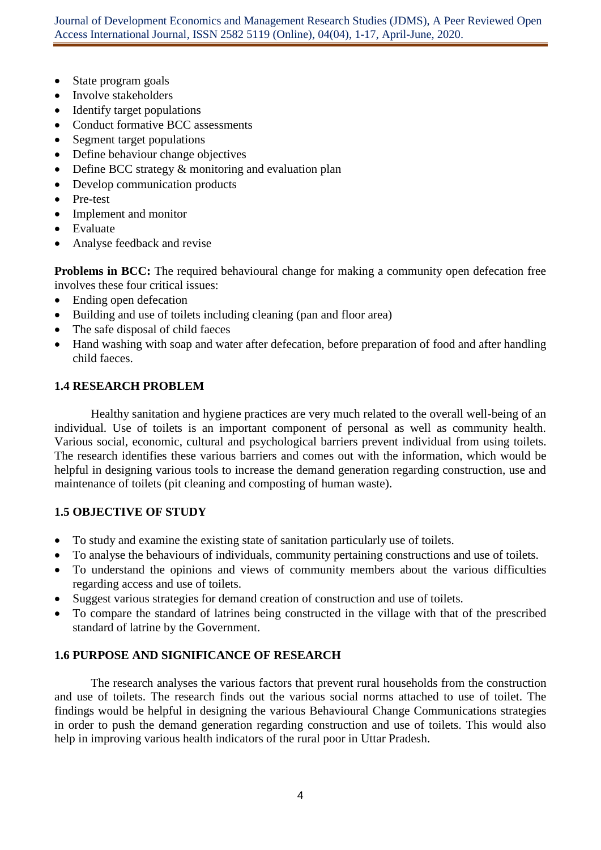Journal of Development Economics and Management Research Studies (JDMS), A Peer Reviewed Open Access International Journal, ISSN 2582 5119 (Online), 04(04), 1-17, April-June, 2020.

- State program goals
- Involve stakeholders
- Identify target populations
- Conduct formative BCC assessments
- Segment target populations
- Define behaviour change objectives
- Define BCC strategy  $&$  monitoring and evaluation plan
- Develop communication products
- Pre-test
- Implement and monitor
- Evaluate
- Analyse feedback and revise

**Problems in BCC:** The required behavioural change for making a community open defecation free involves these four critical issues:

- Ending open defecation
- Building and use of toilets including cleaning (pan and floor area)
- The safe disposal of child faeces
- Hand washing with soap and water after defecation, before preparation of food and after handling child faeces.

## **1.4 RESEARCH PROBLEM**

Healthy sanitation and hygiene practices are very much related to the overall well-being of an individual. Use of toilets is an important component of personal as well as community health. Various social, economic, cultural and psychological barriers prevent individual from using toilets. The research identifies these various barriers and comes out with the information, which would be helpful in designing various tools to increase the demand generation regarding construction, use and maintenance of toilets (pit cleaning and composting of human waste).

## **1.5 OBJECTIVE OF STUDY**

- To study and examine the existing state of sanitation particularly use of toilets.
- To analyse the behaviours of individuals, community pertaining constructions and use of toilets.
- To understand the opinions and views of community members about the various difficulties regarding access and use of toilets.
- Suggest various strategies for demand creation of construction and use of toilets.
- To compare the standard of latrines being constructed in the village with that of the prescribed standard of latrine by the Government.

### **1.6 PURPOSE AND SIGNIFICANCE OF RESEARCH**

The research analyses the various factors that prevent rural households from the construction and use of toilets. The research finds out the various social norms attached to use of toilet. The findings would be helpful in designing the various Behavioural Change Communications strategies in order to push the demand generation regarding construction and use of toilets. This would also help in improving various health indicators of the rural poor in Uttar Pradesh.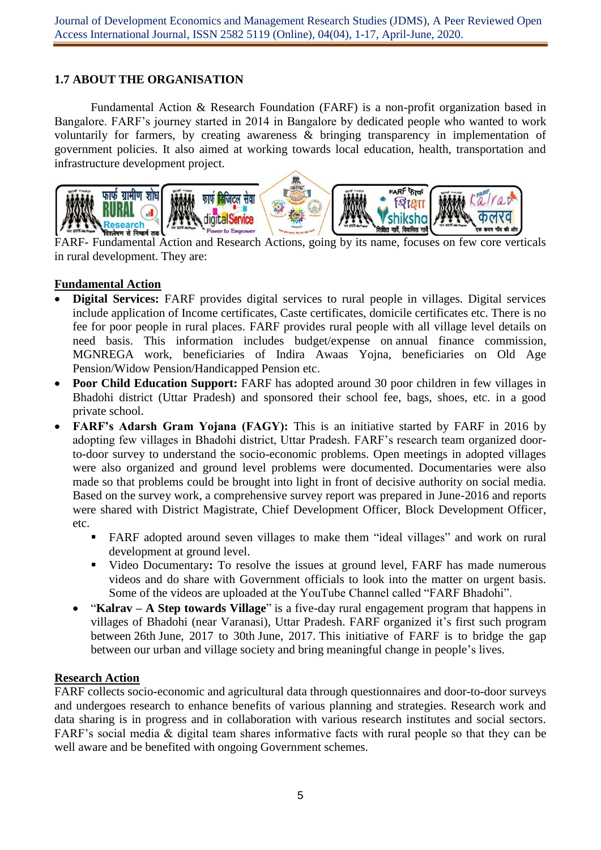# **1.7 ABOUT THE ORGANISATION**

Fundamental Action & Research Foundation (FARF) is a non-profit organization based in Bangalore. FARF's journey started in 2014 in Bangalore by dedicated people who wanted to work voluntarily for farmers, by creating awareness & bringing transparency in implementation of government policies. It also aimed at working towards local education, health, transportation and infrastructure development project.



FARF- Fundamental Action and Research Actions, going by its name, focuses on few core verticals in rural development. They are:

# **Fundamental Action**

- **Digital Services:** FARF provides digital services to rural people in villages. Digital services include application of Income certificates, Caste certificates, domicile certificates etc. There is no fee for poor people in rural places. FARF provides rural people with all village level details on need basis. This information includes budget/expense on annual finance [commission,](http://planningonline.gov.in/HomeAction.do?method=getLoginForm) MGNREGA work, beneficiaries of Indira Awaas Yojna, beneficiaries on Old Age Pension/Widow Pension/Handicapped Pension etc.
- **Poor Child Education Support:** FARF has adopted around 30 poor children in few villages in Bhadohi district (Uttar Pradesh) and sponsored their school fee, bags, shoes, etc. in a good private school.
- **FARF's Adarsh Gram Yojana (FAGY):** This is an initiative started by FARF in 2016 by adopting few villages in Bhadohi district, Uttar Pradesh. FARF's research team organized doorto-door survey to understand the socio-economic problems. Open meetings in adopted villages were also organized and ground level problems were documented. Documentaries were also made so that problems could be brought into light in front of decisive authority on social media. Based on the survey work, a comprehensive survey report was prepared in June-2016 and reports were shared with District Magistrate, Chief Development Officer, Block Development Officer, etc.
	- FARF adopted around seven villages to make them "ideal villages" and work on rural development at ground level.
	- Video Documentary**:** To resolve the issues at ground level, FARF has made numerous videos and do share with Government officials to look into the matter on urgent basis. Some of the videos are uploaded at the YouTube Channel called "FARF Bhadohi".
	- "**Kalrav – A Step towards Village**" is a five-day rural engagement program that happens in villages of Bhadohi (near Varanasi), Uttar Pradesh. FARF organized it's first such program between 26th June, 2017 to 30th June, 2017. This initiative of FARF is to bridge the gap between our urban and village society and bring meaningful change in people's lives.

## **Research Action**

FARF collects socio-economic and agricultural data through questionnaires and door-to-door surveys and undergoes research to enhance benefits of various planning and strategies. Research work and data sharing is in progress and in collaboration with various research institutes and social sectors. FARF's social media & digital team shares informative facts with rural people so that they can be well aware and be benefited with ongoing Government schemes.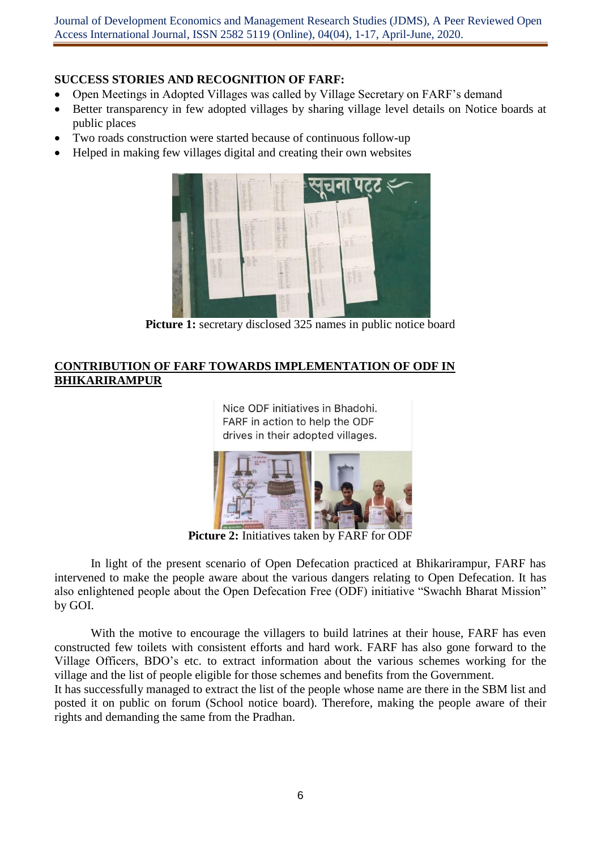Journal of Development Economics and Management Research Studies (JDMS), A Peer Reviewed Open Access International Journal, ISSN 2582 5119 (Online), 04(04), 1-17, April-June, 2020.

## **SUCCESS STORIES AND RECOGNITION OF FARF:**

- Open Meetings in Adopted Villages was called by Village Secretary on FARF's demand
- Better transparency in few adopted villages by sharing village level details on Notice boards at public places
- Two roads construction were started because of continuous follow-up
- Helped in making few villages digital and creating their own websites



**Picture 1:** secretary disclosed 325 names in public notice board

## **CONTRIBUTION OF FARF TOWARDS IMPLEMENTATION OF ODF IN BHIKARIRAMPUR**

Nice ODF initiatives in Bhadohi. FARF in action to help the ODF drives in their adopted villages.



**Picture 2:** Initiatives taken by FARF for ODF

In light of the present scenario of Open Defecation practiced at Bhikarirampur, FARF has intervened to make the people aware about the various dangers relating to Open Defecation. It has also enlightened people about the Open Defecation Free (ODF) initiative "Swachh Bharat Mission" by GOI.

With the motive to encourage the villagers to build latrines at their house, FARF has even constructed few toilets with consistent efforts and hard work. FARF has also gone forward to the Village Officers, BDO's etc. to extract information about the various schemes working for the village and the list of people eligible for those schemes and benefits from the Government.

It has successfully managed to extract the list of the people whose name are there in the SBM list and posted it on public on forum (School notice board). Therefore, making the people aware of their rights and demanding the same from the Pradhan.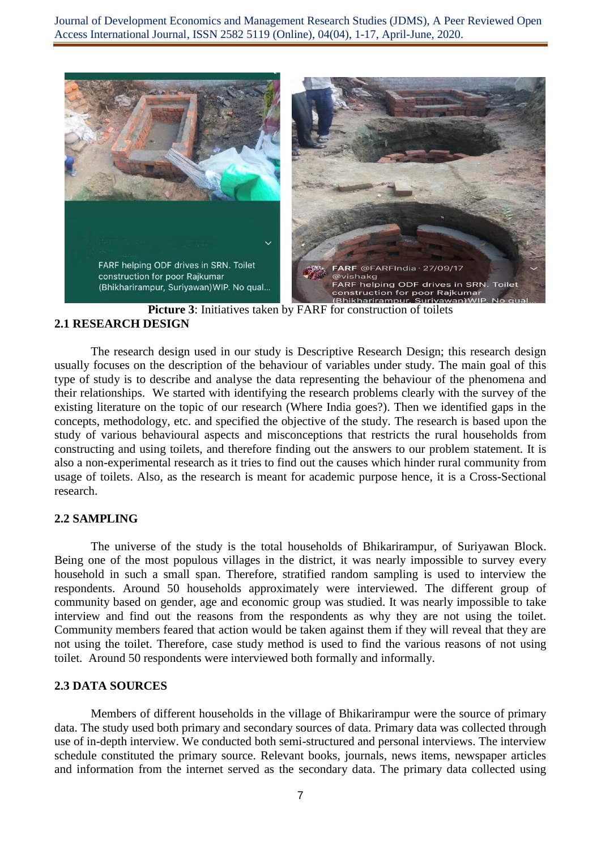Journal of Development Economics and Management Research Studies (JDMS), A Peer Reviewed Open Access International Journal, ISSN 2582 5119 (Online), 04(04), 1-17, April-June, 2020.



**Picture 3**: Initiatives taken by FARF for construction of toilets **2.1 RESEARCH DESIGN**

The research design used in our study is Descriptive Research Design; this research design usually focuses on the description of the behaviour of variables under study. The main goal of this type of study is to describe and analyse the data representing the behaviour of the phenomena and their relationships. We started with identifying the research problems clearly with the survey of the existing literature on the topic of our research (Where India goes?). Then we identified gaps in the concepts, methodology, etc. and specified the objective of the study. The research is based upon the study of various behavioural aspects and misconceptions that restricts the rural households from constructing and using toilets, and therefore finding out the answers to our problem statement. It is also a non-experimental research as it tries to find out the causes which hinder rural community from usage of toilets. Also, as the research is meant for academic purpose hence, it is a Cross-Sectional research.

#### **2.2 SAMPLING**

The universe of the study is the total households of Bhikarirampur, of Suriyawan Block. Being one of the most populous villages in the district, it was nearly impossible to survey every household in such a small span. Therefore, stratified random sampling is used to interview the respondents. Around 50 households approximately were interviewed. The different group of community based on gender, age and economic group was studied. It was nearly impossible to take interview and find out the reasons from the respondents as why they are not using the toilet. Community members feared that action would be taken against them if they will reveal that they are not using the toilet. Therefore, case study method is used to find the various reasons of not using toilet. Around 50 respondents were interviewed both formally and informally.

#### **2.3 DATA SOURCES**

Members of different households in the village of Bhikarirampur were the source of primary data. The study used both primary and secondary sources of data. Primary data was collected through use of in-depth interview. We conducted both semi-structured and personal interviews. The interview schedule constituted the primary source. Relevant books, journals, news items, newspaper articles and information from the internet served as the secondary data. The primary data collected using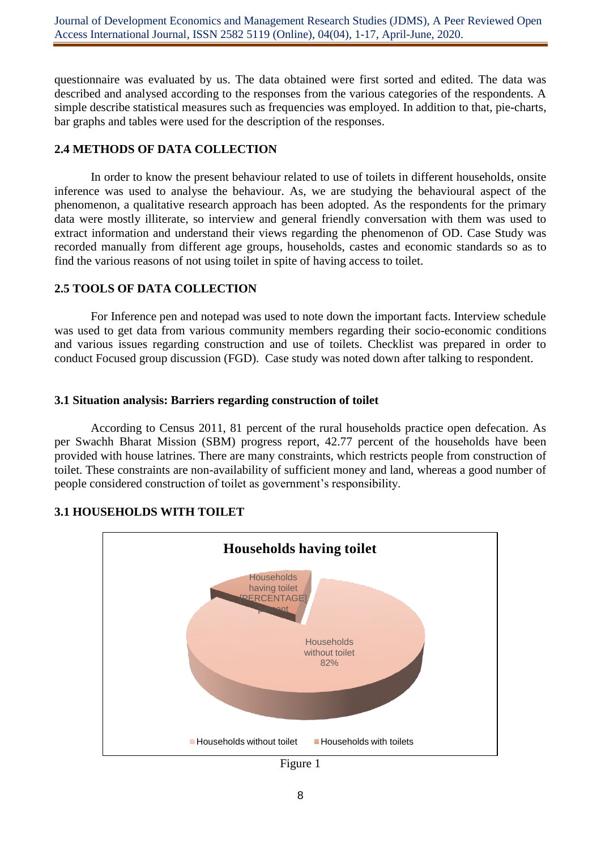questionnaire was evaluated by us. The data obtained were first sorted and edited. The data was described and analysed according to the responses from the various categories of the respondents. A simple describe statistical measures such as frequencies was employed. In addition to that, pie-charts, bar graphs and tables were used for the description of the responses.

## **2.4 METHODS OF DATA COLLECTION**

In order to know the present behaviour related to use of toilets in different households, onsite inference was used to analyse the behaviour. As, we are studying the behavioural aspect of the phenomenon, a qualitative research approach has been adopted. As the respondents for the primary data were mostly illiterate, so interview and general friendly conversation with them was used to extract information and understand their views regarding the phenomenon of OD. Case Study was recorded manually from different age groups, households, castes and economic standards so as to find the various reasons of not using toilet in spite of having access to toilet.

# **2.5 TOOLS OF DATA COLLECTION**

For Inference pen and notepad was used to note down the important facts. Interview schedule was used to get data from various community members regarding their socio-economic conditions and various issues regarding construction and use of toilets. Checklist was prepared in order to conduct Focused group discussion (FGD). Case study was noted down after talking to respondent.

## **3.1 Situation analysis: Barriers regarding construction of toilet**

According to Census 2011, 81 percent of the rural households practice open defecation. As per Swachh Bharat Mission (SBM) progress report, 42.77 percent of the households have been provided with house latrines. There are many constraints, which restricts people from construction of toilet. These constraints are non-availability of sufficient money and land, whereas a good number of people considered construction of toilet as government's responsibility.



# **3.1 HOUSEHOLDS WITH TOILET**

Figure 1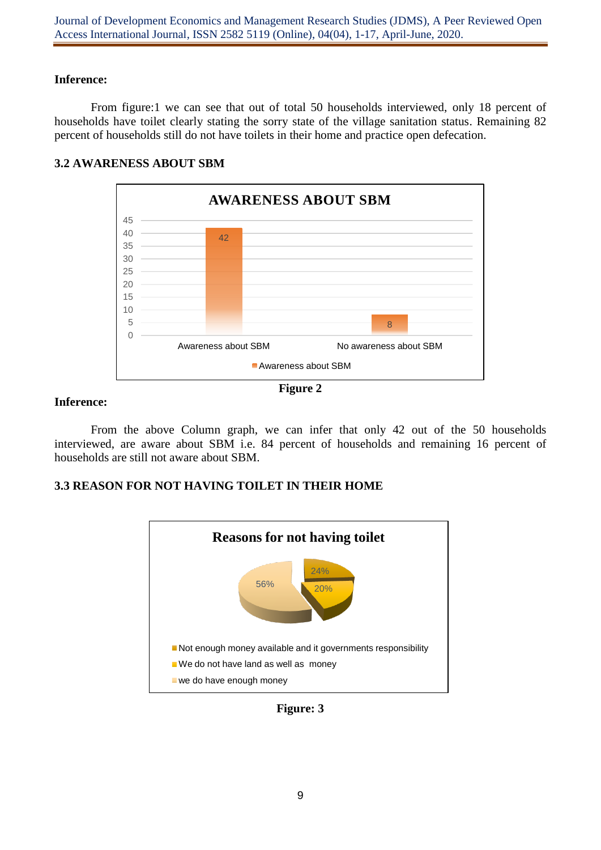## **Inference:**

From figure:1 we can see that out of total 50 households interviewed, only 18 percent of households have toilet clearly stating the sorry state of the village sanitation status. Remaining 82 percent of households still do not have toilets in their home and practice open defecation.



## **3.2 AWARENESS ABOUT SBM**



## **Inference:**

From the above Column graph, we can infer that only 42 out of the 50 households interviewed, are aware about SBM i.e. 84 percent of households and remaining 16 percent of households are still not aware about SBM.

## **3.3 REASON FOR NOT HAVING TOILET IN THEIR HOME**



**Figure: 3**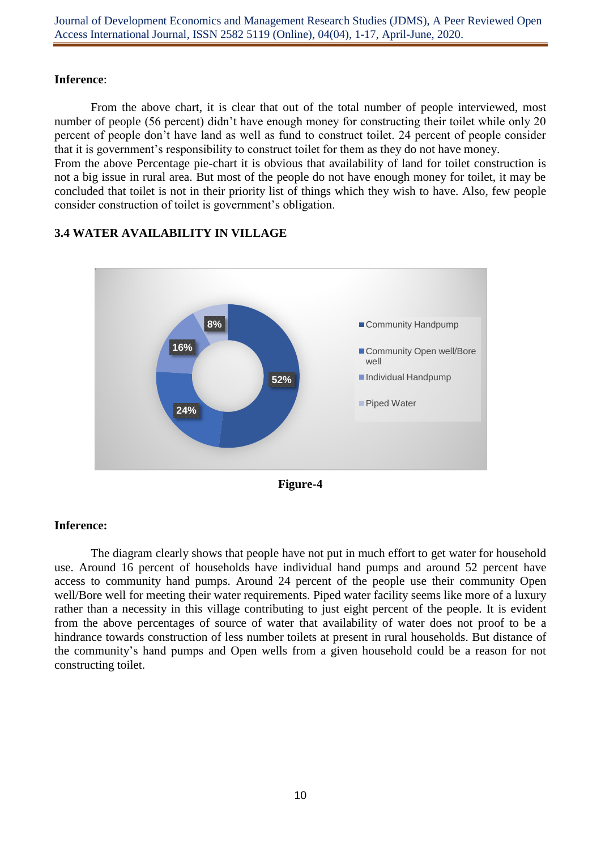## **Inference**:

From the above chart, it is clear that out of the total number of people interviewed, most number of people (56 percent) didn't have enough money for constructing their toilet while only 20 percent of people don't have land as well as fund to construct toilet. 24 percent of people consider that it is government's responsibility to construct toilet for them as they do not have money. From the above Percentage pie-chart it is obvious that availability of land for toilet construction is

not a big issue in rural area. But most of the people do not have enough money for toilet, it may be concluded that toilet is not in their priority list of things which they wish to have. Also, few people consider construction of toilet is government's obligation.



# **3.4 WATER AVAILABILITY IN VILLAGE**



# **Inference:**

The diagram clearly shows that people have not put in much effort to get water for household use. Around 16 percent of households have individual hand pumps and around 52 percent have access to community hand pumps. Around 24 percent of the people use their community Open well/Bore well for meeting their water requirements. Piped water facility seems like more of a luxury rather than a necessity in this village contributing to just eight percent of the people. It is evident from the above percentages of source of water that availability of water does not proof to be a hindrance towards construction of less number toilets at present in rural households. But distance of the community's hand pumps and Open wells from a given household could be a reason for not constructing toilet.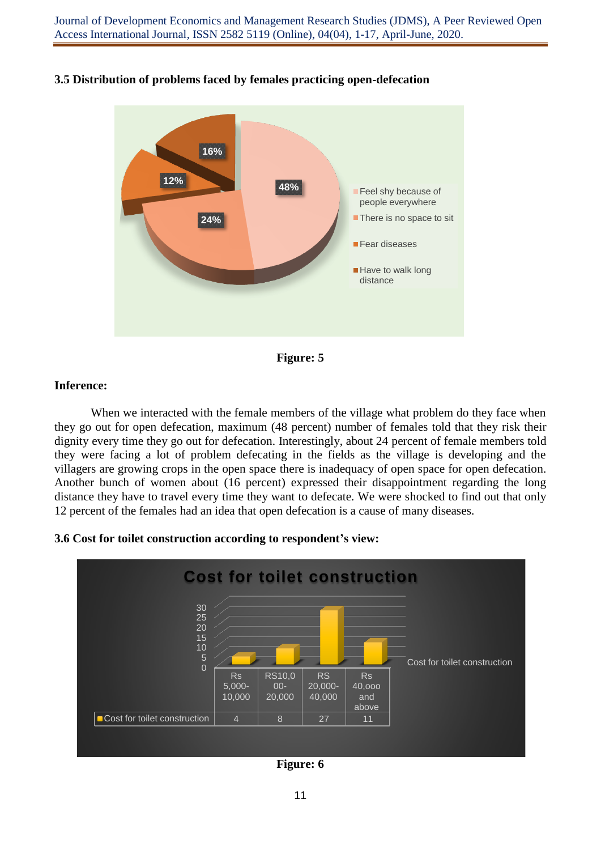

## **3.5 Distribution of problems faced by females practicing open-defecation**



### **Inference:**

When we interacted with the female members of the village what problem do they face when they go out for open defecation, maximum (48 percent) number of females told that they risk their dignity every time they go out for defecation. Interestingly, about 24 percent of female members told they were facing a lot of problem defecating in the fields as the village is developing and the villagers are growing crops in the open space there is inadequacy of open space for open defecation. Another bunch of women about (16 percent) expressed their disappointment regarding the long distance they have to travel every time they want to defecate. We were shocked to find out that only 12 percent of the females had an idea that open defecation is a cause of many diseases.

### **3.6 Cost for toilet construction according to respondent's view:**



**Figure: 6**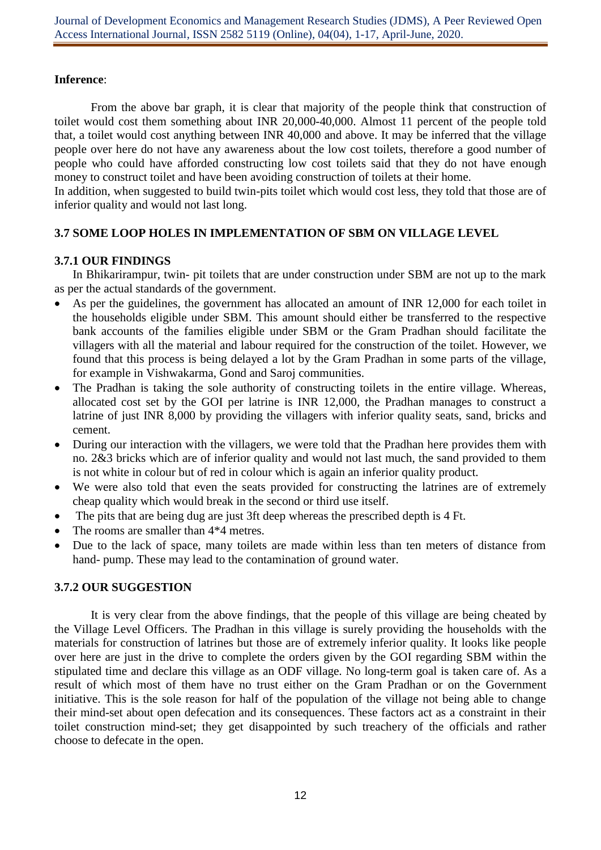## **Inference**:

From the above bar graph, it is clear that majority of the people think that construction of toilet would cost them something about INR 20,000-40,000. Almost 11 percent of the people told that, a toilet would cost anything between INR 40,000 and above. It may be inferred that the village people over here do not have any awareness about the low cost toilets, therefore a good number of people who could have afforded constructing low cost toilets said that they do not have enough money to construct toilet and have been avoiding construction of toilets at their home.

In addition, when suggested to build twin-pits toilet which would cost less, they told that those are of inferior quality and would not last long.

# **3.7 SOME LOOP HOLES IN IMPLEMENTATION OF SBM ON VILLAGE LEVEL**

## **3.7.1 OUR FINDINGS**

In Bhikarirampur, twin- pit toilets that are under construction under SBM are not up to the mark as per the actual standards of the government.

- As per the guidelines, the government has allocated an amount of INR 12,000 for each toilet in the households eligible under SBM. This amount should either be transferred to the respective bank accounts of the families eligible under SBM or the Gram Pradhan should facilitate the villagers with all the material and labour required for the construction of the toilet. However, we found that this process is being delayed a lot by the Gram Pradhan in some parts of the village, for example in Vishwakarma, Gond and Saroj communities.
- The Pradhan is taking the sole authority of constructing toilets in the entire village. Whereas, allocated cost set by the GOI per latrine is INR 12,000, the Pradhan manages to construct a latrine of just INR 8,000 by providing the villagers with inferior quality seats, sand, bricks and cement.
- During our interaction with the villagers, we were told that the Pradhan here provides them with no. 2&3 bricks which are of inferior quality and would not last much, the sand provided to them is not white in colour but of red in colour which is again an inferior quality product.
- We were also told that even the seats provided for constructing the latrines are of extremely cheap quality which would break in the second or third use itself.
- The pits that are being dug are just 3ft deep whereas the prescribed depth is 4 Ft.
- The rooms are smaller than  $4*4$  metres.
- Due to the lack of space, many toilets are made within less than ten meters of distance from hand- pump. These may lead to the contamination of ground water.

# **3.7.2 OUR SUGGESTION**

It is very clear from the above findings, that the people of this village are being cheated by the Village Level Officers. The Pradhan in this village is surely providing the households with the materials for construction of latrines but those are of extremely inferior quality. It looks like people over here are just in the drive to complete the orders given by the GOI regarding SBM within the stipulated time and declare this village as an ODF village. No long-term goal is taken care of. As a result of which most of them have no trust either on the Gram Pradhan or on the Government initiative. This is the sole reason for half of the population of the village not being able to change their mind-set about open defecation and its consequences. These factors act as a constraint in their toilet construction mind-set; they get disappointed by such treachery of the officials and rather choose to defecate in the open.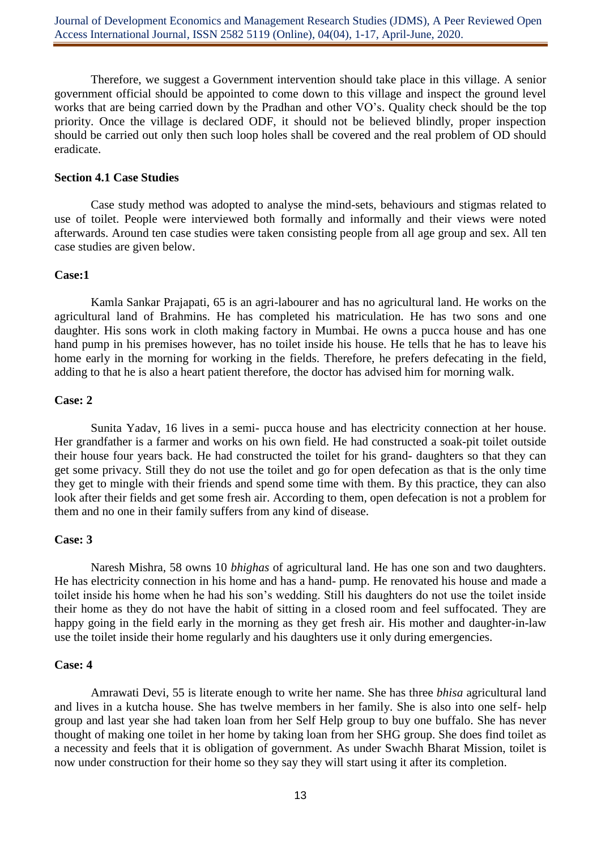Therefore, we suggest a Government intervention should take place in this village. A senior government official should be appointed to come down to this village and inspect the ground level works that are being carried down by the Pradhan and other VO's. Quality check should be the top priority. Once the village is declared ODF, it should not be believed blindly, proper inspection should be carried out only then such loop holes shall be covered and the real problem of OD should eradicate.

#### **Section 4.1 Case Studies**

Case study method was adopted to analyse the mind-sets, behaviours and stigmas related to use of toilet. People were interviewed both formally and informally and their views were noted afterwards. Around ten case studies were taken consisting people from all age group and sex. All ten case studies are given below.

#### **Case:1**

Kamla Sankar Prajapati, 65 is an agri-labourer and has no agricultural land. He works on the agricultural land of Brahmins. He has completed his matriculation. He has two sons and one daughter. His sons work in cloth making factory in Mumbai. He owns a pucca house and has one hand pump in his premises however, has no toilet inside his house. He tells that he has to leave his home early in the morning for working in the fields. Therefore, he prefers defecating in the field, adding to that he is also a heart patient therefore, the doctor has advised him for morning walk.

#### **Case: 2**

Sunita Yadav, 16 lives in a semi- pucca house and has electricity connection at her house. Her grandfather is a farmer and works on his own field. He had constructed a soak-pit toilet outside their house four years back. He had constructed the toilet for his grand- daughters so that they can get some privacy. Still they do not use the toilet and go for open defecation as that is the only time they get to mingle with their friends and spend some time with them. By this practice, they can also look after their fields and get some fresh air. According to them, open defecation is not a problem for them and no one in their family suffers from any kind of disease.

### **Case: 3**

Naresh Mishra, 58 owns 10 *bhighas* of agricultural land. He has one son and two daughters. He has electricity connection in his home and has a hand- pump. He renovated his house and made a toilet inside his home when he had his son's wedding. Still his daughters do not use the toilet inside their home as they do not have the habit of sitting in a closed room and feel suffocated. They are happy going in the field early in the morning as they get fresh air. His mother and daughter-in-law use the toilet inside their home regularly and his daughters use it only during emergencies.

### **Case: 4**

Amrawati Devi, 55 is literate enough to write her name. She has three *bhisa* agricultural land and lives in a kutcha house. She has twelve members in her family. She is also into one self- help group and last year she had taken loan from her Self Help group to buy one buffalo. She has never thought of making one toilet in her home by taking loan from her SHG group. She does find toilet as a necessity and feels that it is obligation of government. As under Swachh Bharat Mission, toilet is now under construction for their home so they say they will start using it after its completion.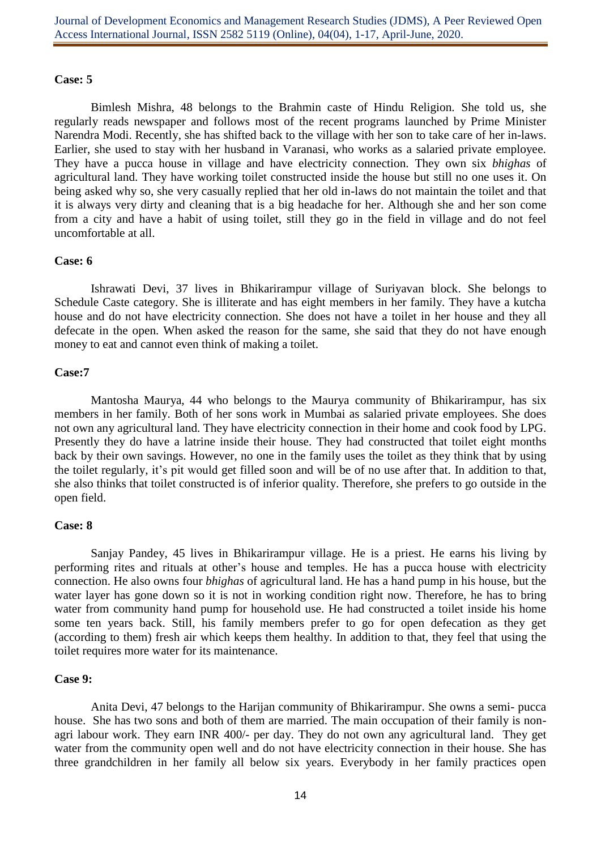#### **Case: 5**

Bimlesh Mishra, 48 belongs to the Brahmin caste of Hindu Religion. She told us, she regularly reads newspaper and follows most of the recent programs launched by Prime Minister Narendra Modi. Recently, she has shifted back to the village with her son to take care of her in-laws. Earlier, she used to stay with her husband in Varanasi, who works as a salaried private employee. They have a pucca house in village and have electricity connection. They own six *bhighas* of agricultural land. They have working toilet constructed inside the house but still no one uses it. On being asked why so, she very casually replied that her old in-laws do not maintain the toilet and that it is always very dirty and cleaning that is a big headache for her. Although she and her son come from a city and have a habit of using toilet, still they go in the field in village and do not feel uncomfortable at all.

#### **Case: 6**

Ishrawati Devi, 37 lives in Bhikarirampur village of Suriyavan block. She belongs to Schedule Caste category. She is illiterate and has eight members in her family. They have a kutcha house and do not have electricity connection. She does not have a toilet in her house and they all defecate in the open. When asked the reason for the same, she said that they do not have enough money to eat and cannot even think of making a toilet.

### **Case:7**

Mantosha Maurya, 44 who belongs to the Maurya community of Bhikarirampur, has six members in her family. Both of her sons work in Mumbai as salaried private employees. She does not own any agricultural land. They have electricity connection in their home and cook food by LPG. Presently they do have a latrine inside their house. They had constructed that toilet eight months back by their own savings. However, no one in the family uses the toilet as they think that by using the toilet regularly, it's pit would get filled soon and will be of no use after that. In addition to that, she also thinks that toilet constructed is of inferior quality. Therefore, she prefers to go outside in the open field.

### **Case: 8**

Sanjay Pandey, 45 lives in Bhikarirampur village. He is a priest. He earns his living by performing rites and rituals at other's house and temples. He has a pucca house with electricity connection. He also owns four *bhighas* of agricultural land. He has a hand pump in his house, but the water layer has gone down so it is not in working condition right now. Therefore, he has to bring water from community hand pump for household use. He had constructed a toilet inside his home some ten years back. Still, his family members prefer to go for open defecation as they get (according to them) fresh air which keeps them healthy. In addition to that, they feel that using the toilet requires more water for its maintenance.

#### **Case 9:**

Anita Devi, 47 belongs to the Harijan community of Bhikarirampur. She owns a semi- pucca house. She has two sons and both of them are married. The main occupation of their family is nonagri labour work. They earn INR 400/- per day. They do not own any agricultural land. They get water from the community open well and do not have electricity connection in their house. She has three grandchildren in her family all below six years. Everybody in her family practices open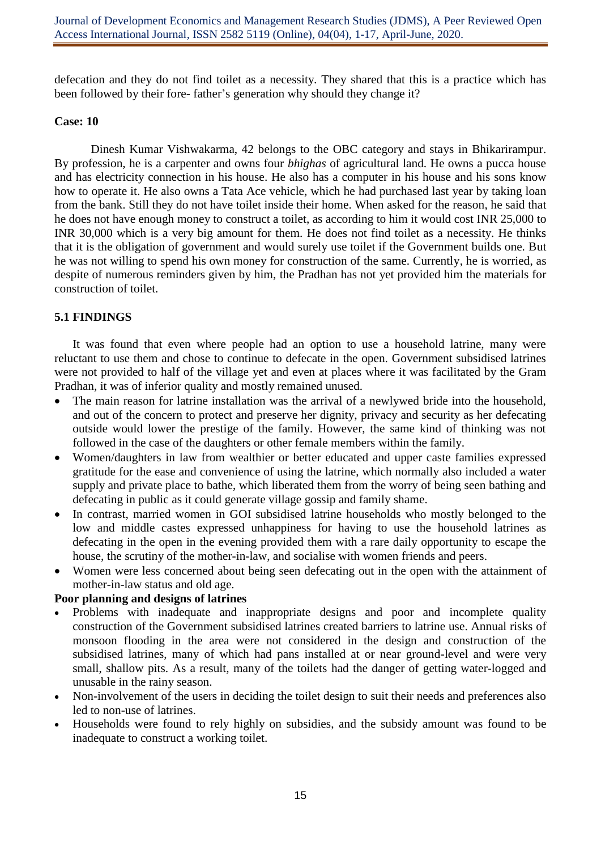defecation and they do not find toilet as a necessity. They shared that this is a practice which has been followed by their fore- father's generation why should they change it?

### **Case: 10**

Dinesh Kumar Vishwakarma, 42 belongs to the OBC category and stays in Bhikarirampur. By profession, he is a carpenter and owns four *bhighas* of agricultural land. He owns a pucca house and has electricity connection in his house. He also has a computer in his house and his sons know how to operate it. He also owns a Tata Ace vehicle, which he had purchased last year by taking loan from the bank. Still they do not have toilet inside their home. When asked for the reason, he said that he does not have enough money to construct a toilet, as according to him it would cost INR 25,000 to INR 30,000 which is a very big amount for them. He does not find toilet as a necessity. He thinks that it is the obligation of government and would surely use toilet if the Government builds one. But he was not willing to spend his own money for construction of the same. Currently, he is worried, as despite of numerous reminders given by him, the Pradhan has not yet provided him the materials for construction of toilet.

# **5.1 FINDINGS**

It was found that even where people had an option to use a household latrine, many were reluctant to use them and chose to continue to defecate in the open. Government subsidised latrines were not provided to half of the village yet and even at places where it was facilitated by the Gram Pradhan, it was of inferior quality and mostly remained unused.

- The main reason for latrine installation was the arrival of a newlywed bride into the household, and out of the concern to protect and preserve her dignity, privacy and security as her defecating outside would lower the prestige of the family. However, the same kind of thinking was not followed in the case of the daughters or other female members within the family.
- Women/daughters in law from wealthier or better educated and upper caste families expressed gratitude for the ease and convenience of using the latrine, which normally also included a water supply and private place to bathe, which liberated them from the worry of being seen bathing and defecating in public as it could generate village gossip and family shame.
- In contrast, married women in GOI subsidised latrine households who mostly belonged to the low and middle castes expressed unhappiness for having to use the household latrines as defecating in the open in the evening provided them with a rare daily opportunity to escape the house, the scrutiny of the mother-in-law, and socialise with women friends and peers.
- Women were less concerned about being seen defecating out in the open with the attainment of mother-in-law status and old age.

### **Poor planning and designs of latrines**

- Problems with inadequate and inappropriate designs and poor and incomplete quality construction of the Government subsidised latrines created barriers to latrine use. Annual risks of monsoon flooding in the area were not considered in the design and construction of the subsidised latrines, many of which had pans installed at or near ground-level and were very small, shallow pits. As a result, many of the toilets had the danger of getting water-logged and unusable in the rainy season.
- Non-involvement of the users in deciding the toilet design to suit their needs and preferences also led to non-use of latrines.
- Households were found to rely highly on subsidies, and the subsidy amount was found to be inadequate to construct a working toilet.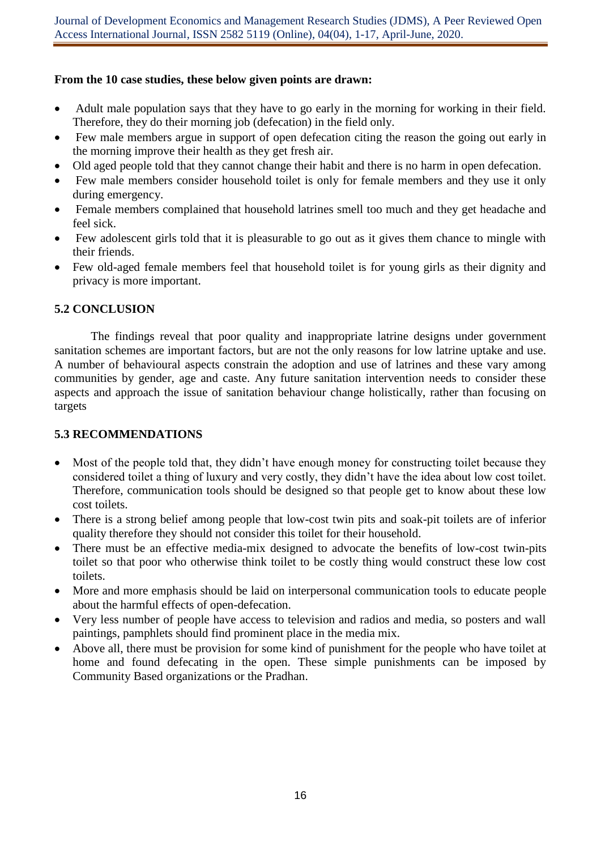# **From the 10 case studies, these below given points are drawn:**

- Adult male population says that they have to go early in the morning for working in their field. Therefore, they do their morning job (defecation) in the field only.
- Few male members argue in support of open defecation citing the reason the going out early in the morning improve their health as they get fresh air.
- Old aged people told that they cannot change their habit and there is no harm in open defecation.
- Few male members consider household toilet is only for female members and they use it only during emergency.
- Female members complained that household latrines smell too much and they get headache and feel sick.
- Few adolescent girls told that it is pleasurable to go out as it gives them chance to mingle with their friends.
- Few old-aged female members feel that household toilet is for young girls as their dignity and privacy is more important.

# **5.2 CONCLUSION**

The findings reveal that poor quality and inappropriate latrine designs under government sanitation schemes are important factors, but are not the only reasons for low latrine uptake and use. A number of behavioural aspects constrain the adoption and use of latrines and these vary among communities by gender, age and caste. Any future sanitation intervention needs to consider these aspects and approach the issue of sanitation behaviour change holistically, rather than focusing on targets

# **5.3 RECOMMENDATIONS**

- Most of the people told that, they didn't have enough money for constructing toilet because they considered toilet a thing of luxury and very costly, they didn't have the idea about low cost toilet. Therefore, communication tools should be designed so that people get to know about these low cost toilets.
- There is a strong belief among people that low-cost twin pits and soak-pit toilets are of inferior quality therefore they should not consider this toilet for their household.
- There must be an effective media-mix designed to advocate the benefits of low-cost twin-pits toilet so that poor who otherwise think toilet to be costly thing would construct these low cost toilets.
- More and more emphasis should be laid on interpersonal communication tools to educate people about the harmful effects of open-defecation.
- Very less number of people have access to television and radios and media, so posters and wall paintings, pamphlets should find prominent place in the media mix.
- Above all, there must be provision for some kind of punishment for the people who have toilet at home and found defecating in the open. These simple punishments can be imposed by Community Based organizations or the Pradhan.